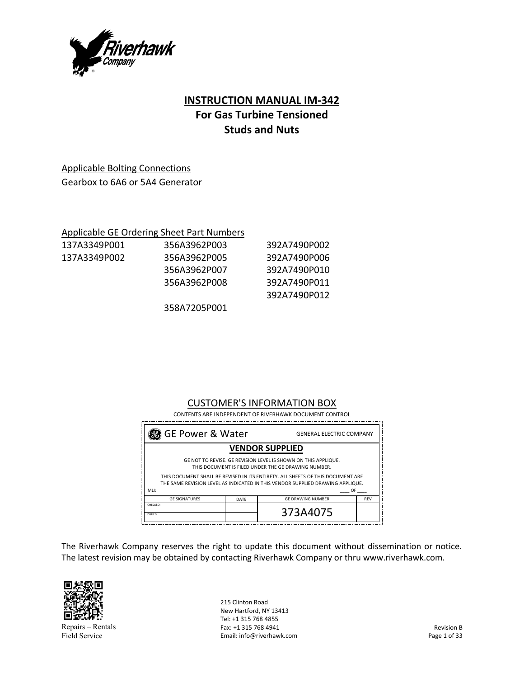

# **INSTRUCTION MANUAL IM‐342 For Gas Turbine Tensioned Studs and Nuts**

# Applicable Bolting Connections

Gearbox to 6A6 or 5A4 Generator

## Applicable GE Ordering Sheet Part Numbers

| 137A3349P001 | 356A3962P003 | 392A7490P002 |
|--------------|--------------|--------------|
| 137A3349P002 | 356A3962P005 | 392A7490P006 |
|              | 356A3962P007 | 392A7490P010 |
|              | 356A3962P008 | 392A7490P011 |
|              |              | 392A7490P012 |
|              | 358A7205P001 |              |

# CUSTOMER'S INFORMATION BOX

 CONTENTS ARE INDEPENDENT OF RIVERHAWK DOCUMENT CONTROL

| <b>VENDOR SUPPLIED</b>                                                                                                                                            |                          |                                 |  |  |
|-------------------------------------------------------------------------------------------------------------------------------------------------------------------|--------------------------|---------------------------------|--|--|
| GE NOT TO REVISE. GE REVISION LEVEL IS SHOWN ON THIS APPLIQUE.<br>THIS DOCUMENT IS FILED UNDER THE GE DRAWING NUMBER.                                             |                          |                                 |  |  |
| THIS DOCUMENT SHALL BE REVISED IN ITS ENTIRETY. ALL SHEETS OF THIS DOCUMENT ARE<br>THE SAME REVISION LEVEL AS INDICATED IN THIS VENDOR SUPPLIED DRAWING APPLIQUE. |                          |                                 |  |  |
| MLI:<br>OF                                                                                                                                                        |                          |                                 |  |  |
| DATE                                                                                                                                                              | <b>GE DRAWING NUMBER</b> | <b>REV</b>                      |  |  |
|                                                                                                                                                                   | 373A4075                 |                                 |  |  |
|                                                                                                                                                                   | 3 GE Power & Water       | <b>GENERAL ELECTRIC COMPANY</b> |  |  |

The Riverhawk Company reserves the right to update this document without dissemination or notice. The latest revision may be obtained by contacting Riverhawk Company or thru www.riverhawk.com.



Repairs – Rentals Field Service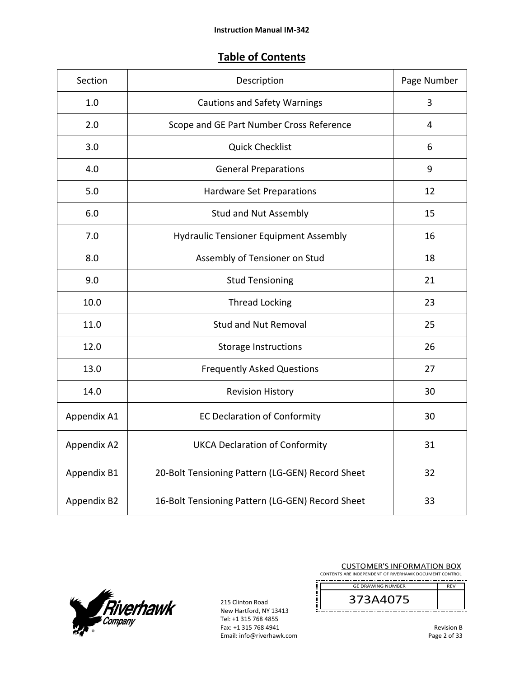# **Table of Contents**

| Section     | Description                                      | Page Number |
|-------------|--------------------------------------------------|-------------|
| 1.0         | <b>Cautions and Safety Warnings</b>              | 3           |
| 2.0         | Scope and GE Part Number Cross Reference         | 4           |
| 3.0         | <b>Quick Checklist</b>                           | 6           |
| 4.0         | <b>General Preparations</b>                      | 9           |
| 5.0         | <b>Hardware Set Preparations</b>                 | 12          |
| 6.0         | <b>Stud and Nut Assembly</b>                     | 15          |
| 7.0         | <b>Hydraulic Tensioner Equipment Assembly</b>    | 16          |
| 8.0         | Assembly of Tensioner on Stud                    | 18          |
| 9.0         | <b>Stud Tensioning</b>                           | 21          |
| 10.0        | <b>Thread Locking</b>                            | 23          |
| 11.0        | <b>Stud and Nut Removal</b>                      | 25          |
| 12.0        | <b>Storage Instructions</b>                      | 26          |
| 13.0        | <b>Frequently Asked Questions</b>                | 27          |
| 14.0        | <b>Revision History</b>                          | 30          |
| Appendix A1 | <b>EC Declaration of Conformity</b>              | 30          |
| Appendix A2 | <b>UKCA Declaration of Conformity</b>            | 31          |
| Appendix B1 | 20-Bolt Tensioning Pattern (LG-GEN) Record Sheet | 32          |
| Appendix B2 | 16-Bolt Tensioning Pattern (LG-GEN) Record Sheet | 33          |



| <b>CUSTOMER'S INFORMATION BOX</b>                      |            |  |
|--------------------------------------------------------|------------|--|
| CONTENTS ARE INDEPENDENT OF RIVERHAWK DOCUMENT CONTROL |            |  |
|                                                        |            |  |
| <b>GE DRAWING NUMBER</b>                               | <b>RFV</b> |  |
| 373A4075                                               |            |  |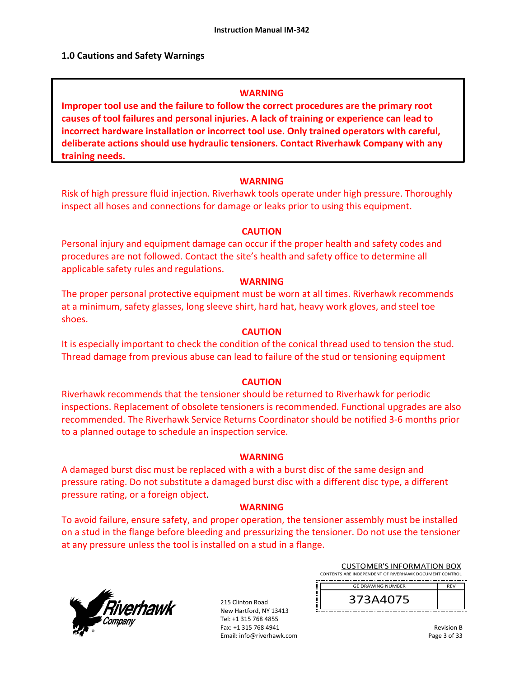## **1.0 Cautions and Safety Warnings**

### **WARNING**

**Improper tool use and the failure to follow the correct procedures are the primary root causes of tool failures and personal injuries. A lack of training or experience can lead to incorrect hardware installation or incorrect tool use. Only trained operators with careful, deliberate actions should use hydraulic tensioners. Contact Riverhawk Company with any training needs.** 

### **WARNING**

Risk of high pressure fluid injection. Riverhawk tools operate under high pressure. Thoroughly inspect all hoses and connections for damage or leaks prior to using this equipment.

### **CAUTION**

Personal injury and equipment damage can occur if the proper health and safety codes and procedures are not followed. Contact the site's health and safety office to determine all applicable safety rules and regulations.

### **WARNING**

The proper personal protective equipment must be worn at all times. Riverhawk recommends at a minimum, safety glasses, long sleeve shirt, hard hat, heavy work gloves, and steel toe shoes.

### **CAUTION**

It is especially important to check the condition of the conical thread used to tension the stud. Thread damage from previous abuse can lead to failure of the stud or tensioning equipment

### **CAUTION**

Riverhawk recommends that the tensioner should be returned to Riverhawk for periodic inspections. Replacement of obsolete tensioners is recommended. Functional upgrades are also recommended. The Riverhawk Service Returns Coordinator should be notified 3‐6 months prior to a planned outage to schedule an inspection service.

#### **WARNING**

A damaged burst disc must be replaced with a with a burst disc of the same design and pressure rating. Do not substitute a damaged burst disc with a different disc type, a different pressure rating, or a foreign object.

### **WARNING**

To avoid failure, ensure safety, and proper operation, the tensioner assembly must be installed on a stud in the flange before bleeding and pressurizing the tensioner. Do not use the tensioner at any pressure unless the tool is installed on a stud in a flange.



215 Clinton Road New Hartford, NY 13413 Tel: +1 315 768 4855 Fax: +1 315 768 4941 Email: info@riverhawk.com

| <b>CUSTOMER'S INFORMATION BOX</b><br>CONTENTS ARE INDEPENDENT OF RIVERHAWK DOCUMENT CONTROL |            |  |
|---------------------------------------------------------------------------------------------|------------|--|
| <b>GE DRAWING NUMBER</b>                                                                    | <b>RFV</b> |  |
| 373A4075                                                                                    |            |  |

Revision B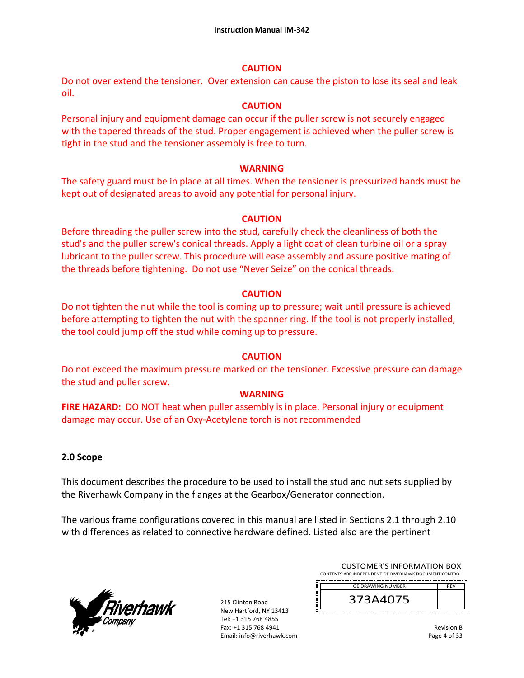## **CAUTION**

Do not over extend the tensioner. Over extension can cause the piston to lose its seal and leak oil.

# **CAUTION**

Personal injury and equipment damage can occur if the puller screw is not securely engaged with the tapered threads of the stud. Proper engagement is achieved when the puller screw is tight in the stud and the tensioner assembly is free to turn.

# **WARNING**

The safety guard must be in place at all times. When the tensioner is pressurized hands must be kept out of designated areas to avoid any potential for personal injury.

# **CAUTION**

Before threading the puller screw into the stud, carefully check the cleanliness of both the stud's and the puller screw's conical threads. Apply a light coat of clean turbine oil or a spray lubricant to the puller screw. This procedure will ease assembly and assure positive mating of the threads before tightening. Do not use "Never Seize" on the conical threads.

# **CAUTION**

Do not tighten the nut while the tool is coming up to pressure; wait until pressure is achieved before attempting to tighten the nut with the spanner ring. If the tool is not properly installed, the tool could jump off the stud while coming up to pressure.

# **CAUTION**

Do not exceed the maximum pressure marked on the tensioner. Excessive pressure can damage the stud and puller screw.

# **WARNING**

**FIRE HAZARD:** DO NOT heat when puller assembly is in place. Personal injury or equipment damage may occur. Use of an Oxy‐Acetylene torch is not recommended

# **2.0 Scope**

This document describes the procedure to be used to install the stud and nut sets supplied by the Riverhawk Company in the flanges at the Gearbox/Generator connection.

The various frame configurations covered in this manual are listed in Sections 2.1 through 2.10 with differences as related to connective hardware defined. Listed also are the pertinent



| <b>GE DRAWING NUMBER</b>                               | <b>RFV</b> |
|--------------------------------------------------------|------------|
| CONTENTS ARE INDEPENDENT OF RIVERHAWK DOCUMENT CONTROL |            |
| <b>CUSTOMER'S INFORMATION BOX</b>                      |            |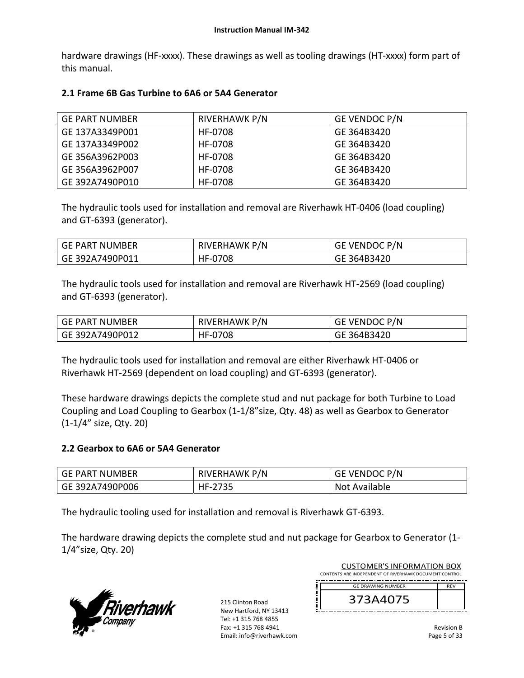hardware drawings (HF-xxxx). These drawings as well as tooling drawings (HT-xxxx) form part of this manual.

# **2.1 Frame 6B Gas Turbine to 6A6 or 5A4 Generator**

| <b>GE PART NUMBER</b> | RIVERHAWK P/N | <b>GE VENDOC P/N</b> |
|-----------------------|---------------|----------------------|
| GE 137A3349P001       | HF-0708       | GE 364B3420          |
| GE 137A3349P002       | HF-0708       | GE 364B3420          |
| GE 356A3962P003       | HF-0708       | GE 364B3420          |
| GE 356A3962P007       | HF-0708       | GE 364B3420          |
| GE 392A7490P010       | HF-0708       | GE 364B3420          |

The hydraulic tools used for installation and removal are Riverhawk HT‐0406 (load coupling) and GT‐6393 (generator).

| <b>GE PART NUMBER</b> | <b>RIVERHAWK P/N</b> | <b>GE VENDOC P/N</b> |
|-----------------------|----------------------|----------------------|
| GE 392A7490P011       | HF-0708              | GE 364B3420          |

The hydraulic tools used for installation and removal are Riverhawk HT‐2569 (load coupling) and GT‐6393 (generator).

| GE PART NUMBER  | RIVERHAWK P/N | <b>GE VENDOC P/N</b> |
|-----------------|---------------|----------------------|
| GE 392A7490P012 | HF-0708       | GE 364B3420          |

The hydraulic tools used for installation and removal are either Riverhawk HT‐0406 or Riverhawk HT‐2569 (dependent on load coupling) and GT‐6393 (generator).

These hardware drawings depicts the complete stud and nut package for both Turbine to Load Coupling and Load Coupling to Gearbox (1‐1/8"size, Qty. 48) as well as Gearbox to Generator (1‐1/4" size, Qty. 20)

## **2.2 Gearbox to 6A6 or 5A4 Generator**

| GE PART NUMBER  | RIVERHAWK P/N | <b>GE VENDOC P/N</b> |
|-----------------|---------------|----------------------|
| GE 392A7490P006 | HF-2735       | Not Available        |

The hydraulic tooling used for installation and removal is Riverhawk GT‐6393.

The hardware drawing depicts the complete stud and nut package for Gearbox to Generator (1‐ 1/4"size, Qty. 20)



| 215 Clinton Road          |
|---------------------------|
| New Hartford. NY 13413    |
| Tel: +1 315 768 4855      |
| Fax: +1 315 768 4941      |
| Email: info@riverhawk.com |

| <b>CUSTOMER'S INFORMATION BOX</b>                      |            |
|--------------------------------------------------------|------------|
| CONTENTS ARE INDEPENDENT OF RIVERHAWK DOCUMENT CONTROL |            |
| ----<br>___<br>--<br>-------<br>--<br>___<br>--        |            |
| <b>GE DRAWING NUMBER</b>                               | <b>RFV</b> |

| 373A4075 |  |
|----------|--|
|          |  |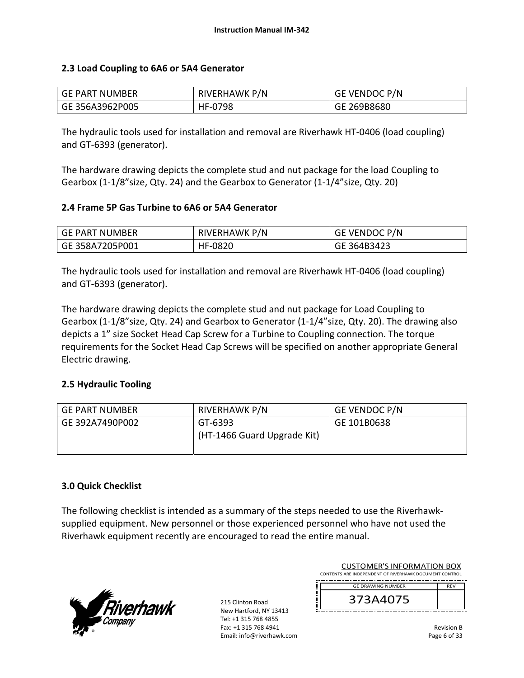# **2.3 Load Coupling to 6A6 or 5A4 Generator**

| GE PART NUMBER  | <b>RIVERHAWK P/N</b> | <b>GE VENDOC P/N</b> |
|-----------------|----------------------|----------------------|
| GE 356A3962P005 | HF-0798              | GE 269B8680          |

The hydraulic tools used for installation and removal are Riverhawk HT‐0406 (load coupling) and GT‐6393 (generator).

The hardware drawing depicts the complete stud and nut package for the load Coupling to Gearbox (1‐1/8"size, Qty. 24) and the Gearbox to Generator (1‐1/4"size, Qty. 20)

## **2.4 Frame 5P Gas Turbine to 6A6 or 5A4 Generator**

| <b>GE PART NUMBER</b> | RIVERHAWK P/N | GE VENDOC P/N |
|-----------------------|---------------|---------------|
| GE 358A7205P001       | HF-0820       | GE 364B3423   |

The hydraulic tools used for installation and removal are Riverhawk HT‐0406 (load coupling) and GT‐6393 (generator).

The hardware drawing depicts the complete stud and nut package for Load Coupling to Gearbox (1-1/8"size, Qty. 24) and Gearbox to Generator (1-1/4"size, Qty. 20). The drawing also depicts a 1" size Socket Head Cap Screw for a Turbine to Coupling connection. The torque requirements for the Socket Head Cap Screws will be specified on another appropriate General Electric drawing.

## **2.5 Hydraulic Tooling**

| GE PART NUMBER  | RIVERHAWK P/N                          | <b>GE VENDOC P/N</b> |
|-----------------|----------------------------------------|----------------------|
| GE 392A7490P002 | GT-6393<br>(HT-1466 Guard Upgrade Kit) | GE 101B0638          |

## **3.0 Quick Checklist**

The following checklist is intended as a summary of the steps needed to use the Riverhawk‐ supplied equipment. New personnel or those experienced personnel who have not used the Riverhawk equipment recently are encouraged to read the entire manual.



215 Clinton Road New Hartford, NY 13413 Tel: +1 315 768 4855 Fax: +1 315 768 4941 Email: info@riverhawk.com

| CUSTUMER S INFORMATION BUX<br>CONTENTS ARE INDEPENDENT OF RIVERHAWK DOCUMENT CONTROL |            |
|--------------------------------------------------------------------------------------|------------|
| <b>GE DRAWING NUMBER</b>                                                             | <b>RFV</b> |
| 373A4075                                                                             |            |

CUSTOMER'S INFORMATION BOX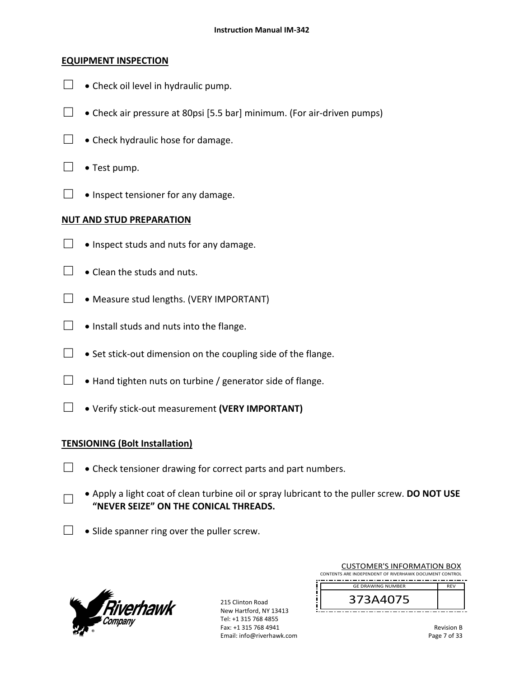## **EQUIPMENT INSPECTION**

- $\Box$  . Check oil level in hydraulic pump.
- $□$  Check air pressure at 80psi [5.5 bar] minimum. (For air-driven pumps)
- $\Box$  . Check hydraulic hose for damage.
- $\Box \bullet$  Test pump.
- $\Box \bullet$  Inspect tensioner for any damage.

# **NUT AND STUD PREPARATION**

- $\Box$  . Inspect studs and nuts for any damage.
- $\Box$   $\bullet$  Clean the studs and nuts.
- $\Box \bullet$  Measure stud lengths. (VERY IMPORTANT)
- $\Box$  . Install studs and nuts into the flange.
- □  $\bullet$  Set stick-out dimension on the coupling side of the flange.
- $\Box$   $\bullet$  Hand tighten nuts on turbine / generator side of flange.
- □ Verify stick‐out measurement **(VERY IMPORTANT)**

## **TENSIONING (Bolt Installation)**

- $\Box$   $\bullet$  Check tensioner drawing for correct parts and part numbers.
- □ Apply a light coat of clean turbine oil or spray lubricant to the puller screw. **DO NOT USE "NEVER SEIZE" ON THE CONICAL THREADS.**
- $\Box \bullet$  Slide spanner ring over the puller screw.



215 Clinton Road New Hartford, NY 13413 Tel: +1 315 768 4855 Fax: +1 315 768 4941 Email: info@riverhawk.com

| <b>CUSTOMER'S INFORMATION BOX</b>                      |            |
|--------------------------------------------------------|------------|
| CONTENTS ARE INDEPENDENT OF RIVERHAWK DOCUMENT CONTROL |            |
| <b>GE DRAWING NUMBER</b>                               | <b>RFV</b> |
| 373A4075                                               |            |

====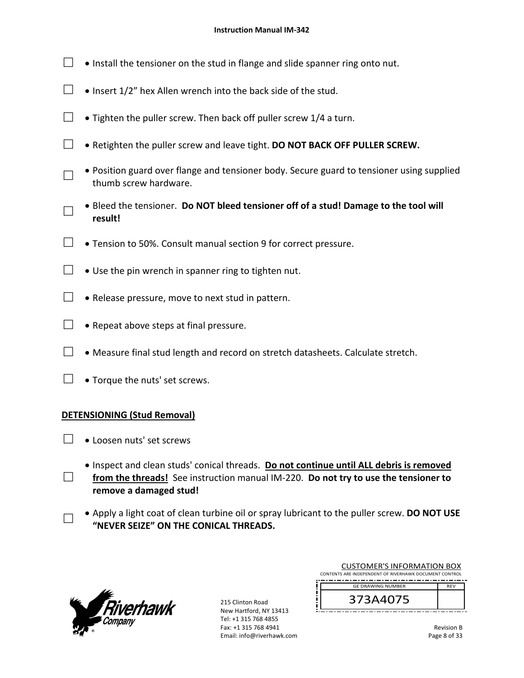- $\Box$  . Install the tensioner on the stud in flange and slide spanner ring onto nut.
- $\Box$  . Insert 1/2" hex Allen wrench into the back side of the stud.
- $\Box$  Tighten the puller screw. Then back off puller screw 1/4 a turn.
- □ Retighten the puller screw and leave tight. **DO NOT BACK OFF PULLER SCREW.**
- □ Position guard over flange and tensioner body. Secure guard to tensioner using supplied thumb screw hardware.
- □ Bleed the tensioner. **Do NOT bleed tensioner off of a stud! Damage to the tool will result!**
- $\Box$   $\bullet$  Tension to 50%. Consult manual section 9 for correct pressure.
- □  $\bullet$  Use the pin wrench in spanner ring to tighten nut.
- $\Box$  . Release pressure, move to next stud in pattern.
- $\Box \bullet$  Repeat above steps at final pressure.
- $\Box$  Measure final stud length and record on stretch datasheets. Calculate stretch.
- $\Box \bullet$  Torque the nuts' set screws.

## **DETENSIONING (Stud Removal)**

 $\Box \bullet$  Loosen nuts' set screws

□

□

- Inspect and clean studs' conical threads. **Do not continue until ALL debris is removed**  from the threads! See instruction manual IM-220. Do not try to use the tensioner to **remove a damaged stud!**
- Apply a light coat of clean turbine oil or spray lubricant to the puller screw. **DO NOT USE "NEVER SEIZE" ON THE CONICAL THREADS.**



215 Clinton Road New Hartford, NY 13413 Tel: +1 315 768 4855 Fax: +1 315 768 4941 Email: info@riverhawk.com

| <b>CUSTOMER'S INFORMATION BOX</b>                      |            |  |
|--------------------------------------------------------|------------|--|
| CONTENTS ARE INDEPENDENT OF RIVERHAWK DOCUMENT CONTROL |            |  |
| <b>GE DRAWING NUMBER</b>                               | <b>RFV</b> |  |
| 373A4075                                               |            |  |

Revision B Page 8 of 33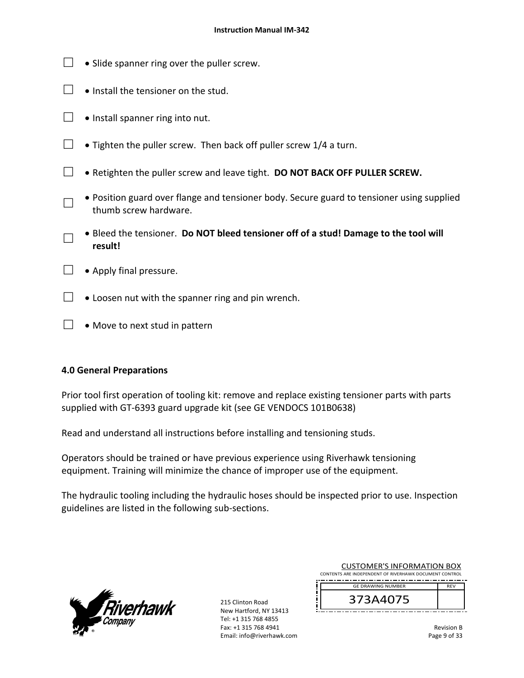- $\Box$   $\bullet$  Slide spanner ring over the puller screw.
- $\Box$  . Install the tensioner on the stud.
- $\Box$  . Install spanner ring into nut.
- □ Tighten the puller screw. Then back off puller screw  $1/4$  a turn.
- □ Retighten the puller screw and leave tight. **DO NOT BACK OFF PULLER SCREW.**
	- Position guard over flange and tensioner body. Secure guard to tensioner using supplied thumb screw hardware.
- □ Bleed the tensioner. **Do NOT bleed tensioner off of a stud! Damage to the tool will result!**
- $\Box \bullet$  Apply final pressure.

□

- $\Box$   $\bullet$  Loosen nut with the spanner ring and pin wrench.
- $\Box \bullet$  Move to next stud in pattern

# **4.0 General Preparations**

Prior tool first operation of tooling kit: remove and replace existing tensioner parts with parts supplied with GT-6393 guard upgrade kit (see GE VENDOCS 101B0638)

Read and understand all instructions before installing and tensioning studs.

Operators should be trained or have previous experience using Riverhawk tensioning equipment. Training will minimize the chance of improper use of the equipment.

The hydraulic tooling including the hydraulic hoses should be inspected prior to use. Inspection guidelines are listed in the following sub‐sections.



215 Clinton Road New Hartford, NY 13413 Tel: +1 315 768 4855 Fax: +1 315 768 4941 Email: info@riverhawk.com

| <b>GE DRAWING NUMBER</b>                               | <b>RFV</b> |
|--------------------------------------------------------|------------|
| CONTENTS ARE INDEPENDENT OF RIVERHAWK DOCUMENT CONTROL |            |
| <b>CUSTOMER'S INFORMATION BOX</b>                      |            |

Revision B Page 9 of 33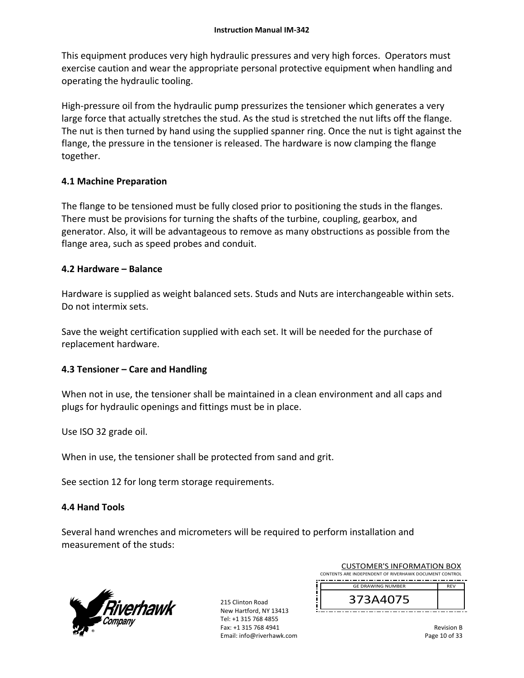This equipment produces very high hydraulic pressures and very high forces. Operators must exercise caution and wear the appropriate personal protective equipment when handling and operating the hydraulic tooling.

High-pressure oil from the hydraulic pump pressurizes the tensioner which generates a very large force that actually stretches the stud. As the stud is stretched the nut lifts off the flange. The nut is then turned by hand using the supplied spanner ring. Once the nut is tight against the flange, the pressure in the tensioner is released. The hardware is now clamping the flange together.

# **4.1 Machine Preparation**

The flange to be tensioned must be fully closed prior to positioning the studs in the flanges. There must be provisions for turning the shafts of the turbine, coupling, gearbox, and generator. Also, it will be advantageous to remove as many obstructions as possible from the flange area, such as speed probes and conduit.

## **4.2 Hardware – Balance**

Hardware is supplied as weight balanced sets. Studs and Nuts are interchangeable within sets. Do not intermix sets.

Save the weight certification supplied with each set. It will be needed for the purchase of replacement hardware.

## **4.3 Tensioner – Care and Handling**

When not in use, the tensioner shall be maintained in a clean environment and all caps and plugs for hydraulic openings and fittings must be in place.

Use ISO 32 grade oil.

When in use, the tensioner shall be protected from sand and grit.

See section 12 for long term storage requirements.

# **4.4 Hand Tools**

Several hand wrenches and micrometers will be required to perform installation and measurement of the studs:



215 Clinton Road New Hartford, NY 13413 Tel: +1 315 768 4855 Fax: +1 315 768 4941 Email: info@riverhawk.com

| <b>GE DRAWING NUMBER</b>                               | <b>RFV</b> |
|--------------------------------------------------------|------------|
| CONTENTS ARE INDEPENDENT OF RIVERHAWK DOCUMENT CONTROL |            |
| CUSTUMER S INFORMATION BUX                             |            |

 $C$  ICTOMER'S INFORMATION BOY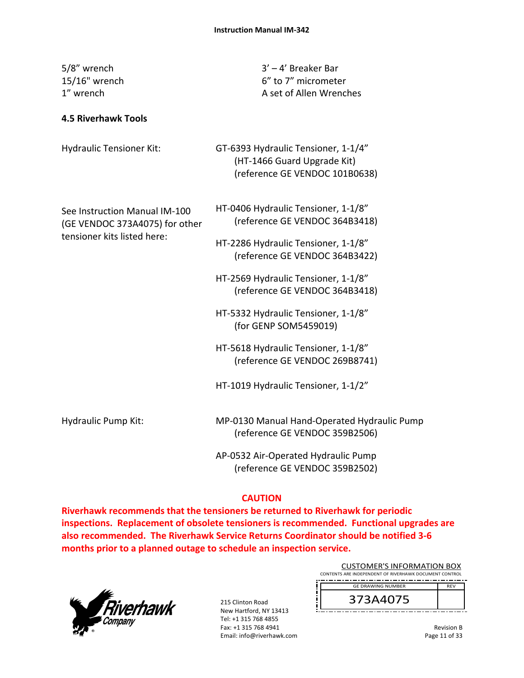| 5/8" wrench<br>15/16" wrench<br>1" wrench                       | $3' - 4'$ Breaker Bar<br>6" to 7" micrometer<br>A set of Allen Wrenches                              |
|-----------------------------------------------------------------|------------------------------------------------------------------------------------------------------|
| <b>4.5 Riverhawk Tools</b>                                      |                                                                                                      |
| <b>Hydraulic Tensioner Kit:</b>                                 | GT-6393 Hydraulic Tensioner, 1-1/4"<br>(HT-1466 Guard Upgrade Kit)<br>(reference GE VENDOC 101B0638) |
| See Instruction Manual IM-100<br>(GE VENDOC 373A4075) for other | HT-0406 Hydraulic Tensioner, 1-1/8"<br>(reference GE VENDOC 364B3418)                                |
| tensioner kits listed here:                                     | HT-2286 Hydraulic Tensioner, 1-1/8"<br>(reference GE VENDOC 364B3422)                                |
|                                                                 | HT-2569 Hydraulic Tensioner, 1-1/8"<br>(reference GE VENDOC 364B3418)                                |
|                                                                 | HT-5332 Hydraulic Tensioner, 1-1/8"<br>(for GENP SOM5459019)                                         |
|                                                                 | HT-5618 Hydraulic Tensioner, 1-1/8"<br>(reference GE VENDOC 269B8741)                                |
|                                                                 | HT-1019 Hydraulic Tensioner, 1-1/2"                                                                  |
| Hydraulic Pump Kit:                                             | MP-0130 Manual Hand-Operated Hydraulic Pump<br>(reference GE VENDOC 359B2506)                        |
|                                                                 | AP-0532 Air-Operated Hydraulic Pump                                                                  |

(reference GE VENDOC 359B2502)

# **CAUTION**

**Riverhawk recommends that the tensioners be returned to Riverhawk for periodic inspections. Replacement of obsolete tensioners is recommended. Functional upgrades are also recommended. The Riverhawk Service Returns Coordinator should be notified 3‐6 months prior to a planned outage to schedule an inspection service.** 



215 Clinton Road New Hartford, NY 13413 Tel: +1 315 768 4855 Fax: +1 315 768 4941 Email: info@riverhawk.com

| <b>CUSTOMER'S INFORMATION BOX</b>                      |            |
|--------------------------------------------------------|------------|
| CONTENTS ARE INDEPENDENT OF RIVERHAWK DOCUMENT CONTROL |            |
| <b>GE DRAWING NUMBER</b>                               | <b>RFV</b> |
|                                                        |            |

373A4075

Revision B Page 11 of 33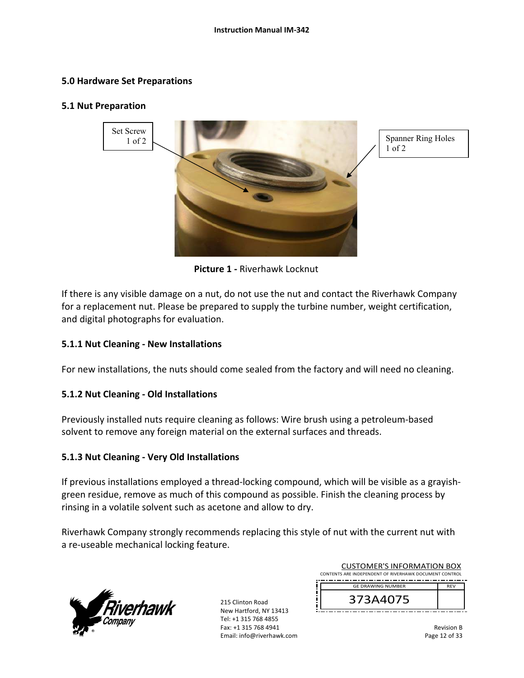## **5.0 Hardware Set Preparations**

#### **5.1 Nut Preparation**



1 of 2

 **Picture 1 ‐** Riverhawk Locknut

If there is any visible damage on a nut, do not use the nut and contact the Riverhawk Company for a replacement nut. Please be prepared to supply the turbine number, weight certification, and digital photographs for evaluation.

### **5.1.1 Nut Cleaning ‐ New Installations**

For new installations, the nuts should come sealed from the factory and will need no cleaning.

### **5.1.2 Nut Cleaning ‐ Old Installations**

Previously installed nuts require cleaning as follows: Wire brush using a petroleum‐based solvent to remove any foreign material on the external surfaces and threads.

## **5.1.3 Nut Cleaning ‐ Very Old Installations**

If previous installations employed a thread‐locking compound, which will be visible as a grayish‐ green residue, remove as much of this compound as possible. Finish the cleaning process by rinsing in a volatile solvent such as acetone and allow to dry.

Riverhawk Company strongly recommends replacing this style of nut with the current nut with a re‐useable mechanical locking feature.



| 3734407                                                |            |
|--------------------------------------------------------|------------|
| <b>GE DRAWING NUMBER</b>                               | <b>RFV</b> |
| CONTENTS ARE INDEPENDENT OF RIVERHAWK DOCUMENT CONTROL |            |
| <b>CUSTOMER'S INFORMATION BOX</b>                      |            |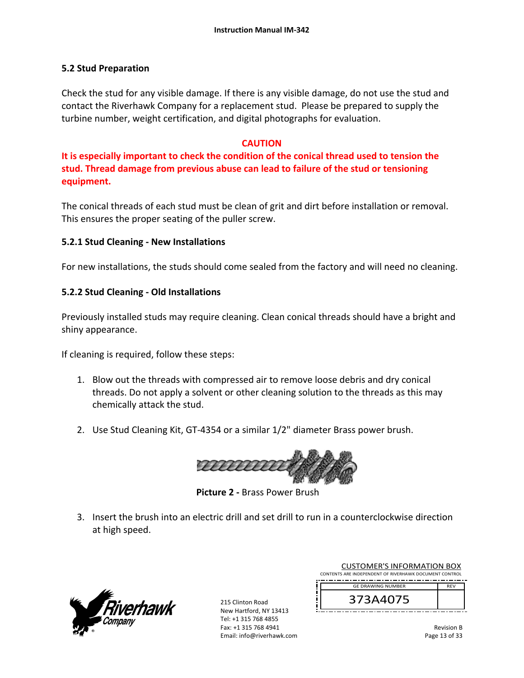## **5.2 Stud Preparation**

Check the stud for any visible damage. If there is any visible damage, do not use the stud and contact the Riverhawk Company for a replacement stud. Please be prepared to supply the turbine number, weight certification, and digital photographs for evaluation.

# **CAUTION**

**It is especially important to check the condition of the conical thread used to tension the stud. Thread damage from previous abuse can lead to failure of the stud or tensioning equipment.**

The conical threads of each stud must be clean of grit and dirt before installation or removal. This ensures the proper seating of the puller screw.

# **5.2.1 Stud Cleaning ‐ New Installations**

For new installations, the studs should come sealed from the factory and will need no cleaning.

# **5.2.2 Stud Cleaning ‐ Old Installations**

Previously installed studs may require cleaning. Clean conical threads should have a bright and shiny appearance.

If cleaning is required, follow these steps:

- 1. Blow out the threads with compressed air to remove loose debris and dry conical threads. Do not apply a solvent or other cleaning solution to the threads as this may chemically attack the stud.
- 2. Use Stud Cleaning Kit, GT‐4354 or a similar 1/2" diameter Brass power brush.



 **Picture 2 ‐** Brass Power Brush

3. Insert the brush into an electric drill and set drill to run in a counterclockwise direction at high speed.



215 Clinton Road New Hartford, NY 13413 Tel: +1 315 768 4855 Fax: +1 315 768 4941 Email: info@riverhawk.com

| <b>GE DRAWING NUMBER</b>                               |  | <b>RFV</b> |  |
|--------------------------------------------------------|--|------------|--|
| CONTENTS ARE INDEPENDENT OF RIVERHAWK DOCUMENT CONTROL |  |            |  |
| <b>CUSTOMER'S INFORMATION BOX</b>                      |  |            |  |

Revision B Page 13 of 33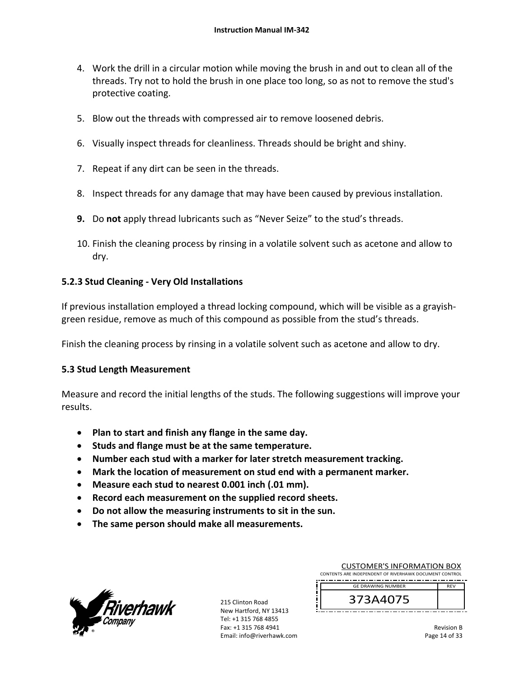- 4. Work the drill in a circular motion while moving the brush in and out to clean all of the threads. Try not to hold the brush in one place too long, so as not to remove the stud's protective coating.
- 5. Blow out the threads with compressed air to remove loosened debris.
- 6. Visually inspect threads for cleanliness. Threads should be bright and shiny.
- 7. Repeat if any dirt can be seen in the threads.
- 8. Inspect threads for any damage that may have been caused by previous installation.
- **9.** Do **not** apply thread lubricants such as "Never Seize" to the stud's threads.
- 10. Finish the cleaning process by rinsing in a volatile solvent such as acetone and allow to dry.

## **5.2.3 Stud Cleaning ‐ Very Old Installations**

If previous installation employed a thread locking compound, which will be visible as a grayish‐ green residue, remove as much of this compound as possible from the stud's threads.

Finish the cleaning process by rinsing in a volatile solvent such as acetone and allow to dry.

## **5.3 Stud Length Measurement**

Measure and record the initial lengths of the studs. The following suggestions will improve your results.

- **Plan to start and finish any flange in the same day.**
- **Studs and flange must be at the same temperature.**
- **Number each stud with a marker for later stretch measurement tracking.**
- **Mark the location of measurement on stud end with a permanent marker.**
- **Measure each stud to nearest 0.001 inch (.01 mm).**
- **Record each measurement on the supplied record sheets.**
- **Do not allow the measuring instruments to sit in the sun.**
- **The same person should make all measurements.**



215 Clinton Road New Hartford, NY 13413 Tel: +1 315 768 4855 Fax: +1 315 768 4941 Email: info@riverhawk.com

| <b>CUSTOMER'S INFORMATION BOX</b>                      |            |  |  |
|--------------------------------------------------------|------------|--|--|
| CONTENTS ARE INDEPENDENT OF RIVERHAWK DOCUMENT CONTROL |            |  |  |
| <b>GE DRAWING NUMBER</b>                               | <b>RFV</b> |  |  |
| 373A4075                                               |            |  |  |

Revision B Page 14 of 33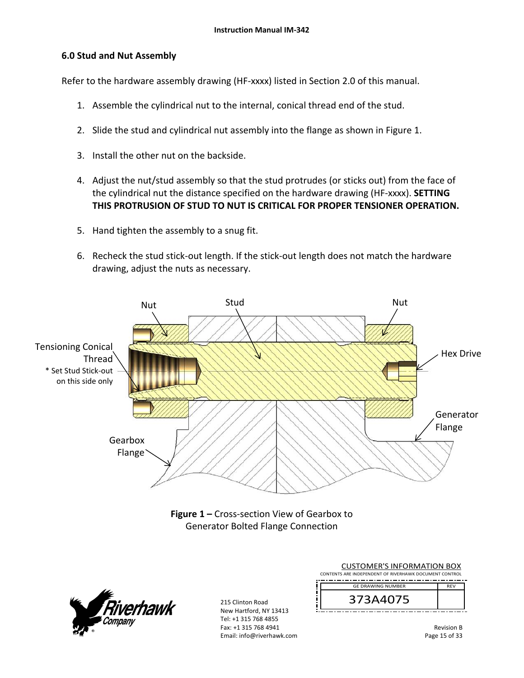## **6.0 Stud and Nut Assembly**

Refer to the hardware assembly drawing (HF-xxxx) listed in Section 2.0 of this manual.

- 1. Assemble the cylindrical nut to the internal, conical thread end of the stud.
- 2. Slide the stud and cylindrical nut assembly into the flange as shown in Figure 1.
- 3. Install the other nut on the backside.
- 4. Adjust the nut/stud assembly so that the stud protrudes (or sticks out) from the face of the cylindrical nut the distance specified on the hardware drawing (HF‐xxxx). **SETTING THIS PROTRUSION OF STUD TO NUT IS CRITICAL FOR PROPER TENSIONER OPERATION.**
- 5. Hand tighten the assembly to a snug fit.
- 6. Recheck the stud stick‐out length. If the stick‐out length does not match the hardware drawing, adjust the nuts as necessary.





| <b>CUSTOMER'S INFORMATION BOX</b><br>CONTENTS ARE INDEPENDENT OF RIVERHAWK DOCUMENT CONTROL |            |  |  |
|---------------------------------------------------------------------------------------------|------------|--|--|
| <b>GE DRAWING NUMBER</b>                                                                    | <b>RFV</b> |  |  |
| 373A4075                                                                                    |            |  |  |

Revision B Page 15 of 33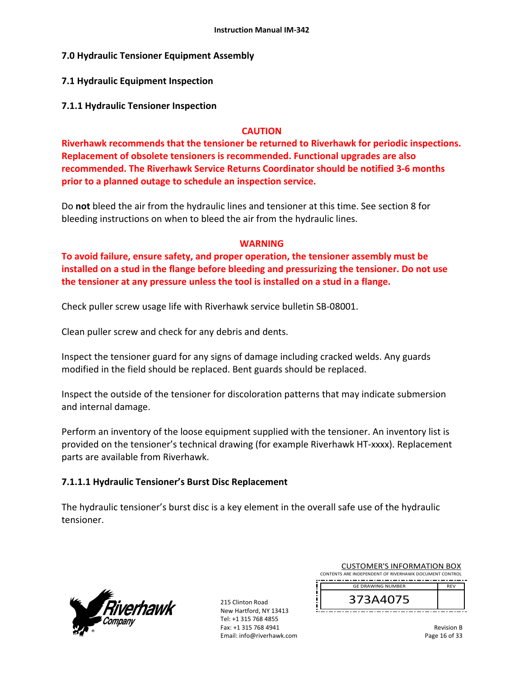## **7.0 Hydraulic Tensioner Equipment Assembly**

## **7.1 Hydraulic Equipment Inspection**

**7.1.1 Hydraulic Tensioner Inspection** 

### **CAUTION**

**Riverhawk recommends that the tensioner be returned to Riverhawk for periodic inspections. Replacement of obsolete tensioners is recommended. Functional upgrades are also recommended. The Riverhawk Service Returns Coordinator should be notified 3‐6 months prior to a planned outage to schedule an inspection service.** 

Do **not** bleed the air from the hydraulic lines and tensioner at this time. See section 8 for bleeding instructions on when to bleed the air from the hydraulic lines.

### **WARNING**

**To avoid failure, ensure safety, and proper operation, the tensioner assembly must be installed on a stud in the flange before bleeding and pressurizing the tensioner. Do not use the tensioner at any pressure unless the tool is installed on a stud in a flange.** 

Check puller screw usage life with Riverhawk service bulletin SB‐08001.

Clean puller screw and check for any debris and dents.

Inspect the tensioner guard for any signs of damage including cracked welds. Any guards modified in the field should be replaced. Bent guards should be replaced.

Inspect the outside of the tensioner for discoloration patterns that may indicate submersion and internal damage.

Perform an inventory of the loose equipment supplied with the tensioner. An inventory list is provided on the tensioner's technical drawing (for example Riverhawk HT‐xxxx). Replacement parts are available from Riverhawk.

## **7.1.1.1 Hydraulic Tensioner's Burst Disc Replacement**

The hydraulic tensioner's burst disc is a key element in the overall safe use of the hydraulic tensioner.



215 Clinton Road New Hartford, NY 13413 Tel: +1 315 768 4855 Fax: +1 315 768 4941 Email: info@riverhawk.com

| <b>CUSTOMER'S INFORMATION BOX</b>                      |  |  |  |
|--------------------------------------------------------|--|--|--|
| CONTENTS ARE INDEPENDENT OF RIVERHAWK DOCUMENT CONTROL |  |  |  |
| <b>GE DRAWING NUMBER</b><br><b>RFV</b>                 |  |  |  |
|                                                        |  |  |  |

373A4075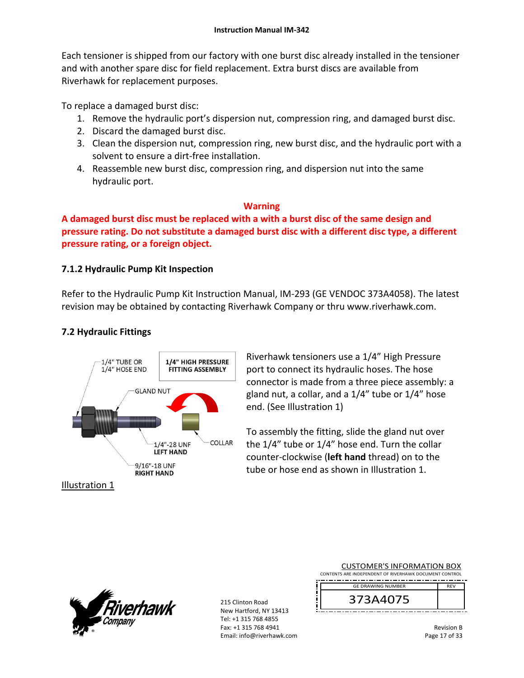Each tensioner is shipped from our factory with one burst disc already installed in the tensioner and with another spare disc for field replacement. Extra burst discs are available from Riverhawk for replacement purposes.

To replace a damaged burst disc:

- 1. Remove the hydraulic port's dispersion nut, compression ring, and damaged burst disc.
- 2. Discard the damaged burst disc.
- 3. Clean the dispersion nut, compression ring, new burst disc, and the hydraulic port with a solvent to ensure a dirt‐free installation.
- 4. Reassemble new burst disc, compression ring, and dispersion nut into the same hydraulic port.

# **Warning**

**A damaged burst disc must be replaced with a with a burst disc of the same design and pressure rating. Do not substitute a damaged burst disc with a different disc type, a different pressure rating, or a foreign object.**

# **7.1.2 Hydraulic Pump Kit Inspection**

Refer to the Hydraulic Pump Kit Instruction Manual, IM‐293 (GE VENDOC 373A4058). The latest revision may be obtained by contacting Riverhawk Company or thru www.riverhawk.com.

# **7.2 Hydraulic Fittings**



Riverhawk tensioners use a 1/4" High Pressure port to connect its hydraulic hoses. The hose connector is made from a three piece assembly: a gland nut, a collar, and a 1/4" tube or 1/4" hose end. (See Illustration 1)

To assembly the fitting, slide the gland nut over the 1/4" tube or 1/4" hose end. Turn the collar counter‐clockwise (**left hand** thread) on to the tube or hose end as shown in Illustration 1.

Illustration 1



| <b>CUSTOMER'S INFORMATION BOX</b>                      |            |  |  |
|--------------------------------------------------------|------------|--|--|
| CONTENTS ARE INDEPENDENT OF RIVERHAWK DOCUMENT CONTROL |            |  |  |
| <b>GE DRAWING NUMBER</b>                               | <b>RFV</b> |  |  |
| 373A4075                                               |            |  |  |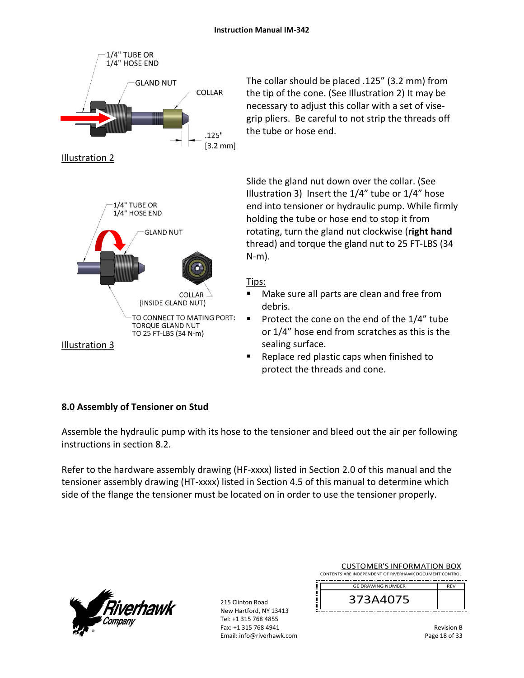

The collar should be placed .125" (3.2 mm) from the tip of the cone. (See Illustration 2) It may be necessary to adjust this collar with a set of vise‐ grip pliers. Be careful to not strip the threads off the tube or hose end.

Slide the gland nut down over the collar. (See Illustration 3) Insert the 1/4" tube or 1/4" hose end into tensioner or hydraulic pump. While firmly holding the tube or hose end to stop it from rotating, turn the gland nut clockwise (**right hand** thread) and torque the gland nut to 25 FT‐LBS (34 N‐m).

# Tips:

- Make sure all parts are clean and free from debris.
- Protect the cone on the end of the  $1/4$ " tube or 1/4" hose end from scratches as this is the sealing surface.
- Replace red plastic caps when finished to protect the threads and cone.

# **8.0 Assembly of Tensioner on Stud**

Assemble the hydraulic pump with its hose to the tensioner and bleed out the air per following instructions in section 8.2.

Refer to the hardware assembly drawing (HF-xxxx) listed in Section 2.0 of this manual and the tensioner assembly drawing (HT‐xxxx) listed in Section 4.5 of this manual to determine which side of the flange the tensioner must be located on in order to use the tensioner properly.



|                                                        | <b>CUSTOMER'S INFORMATION BOX</b> |            |  |  |
|--------------------------------------------------------|-----------------------------------|------------|--|--|
| CONTENTS ARE INDEPENDENT OF RIVERHAWK DOCUMENT CONTROL |                                   |            |  |  |
|                                                        | <b>GE DRAWING NUMBER</b>          | <b>RFV</b> |  |  |
|                                                        | 373A4075                          |            |  |  |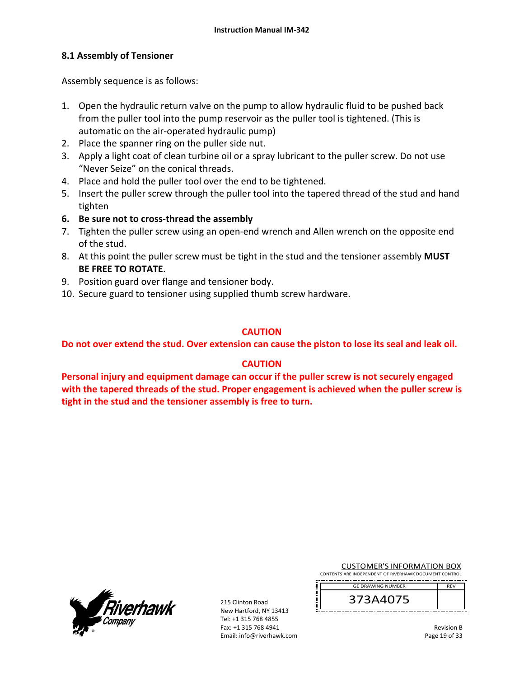# **8.1 Assembly of Tensioner**

Assembly sequence is as follows:

- 1. Open the hydraulic return valve on the pump to allow hydraulic fluid to be pushed back from the puller tool into the pump reservoir as the puller tool is tightened. (This is automatic on the air‐operated hydraulic pump)
- 2. Place the spanner ring on the puller side nut.
- 3. Apply a light coat of clean turbine oil or a spray lubricant to the puller screw. Do not use "Never Seize" on the conical threads.
- 4. Place and hold the puller tool over the end to be tightened.
- 5. Insert the puller screw through the puller tool into the tapered thread of the stud and hand tighten
- **6. Be sure not to cross‐thread the assembly**
- 7. Tighten the puller screw using an open‐end wrench and Allen wrench on the opposite end of the stud.
- 8. At this point the puller screw must be tight in the stud and the tensioner assembly **MUST BE FREE TO ROTATE**.
- 9. Position guard over flange and tensioner body.
- 10. Secure guard to tensioner using supplied thumb screw hardware.

## **CAUTION**

**Do not over extend the stud. Over extension can cause the piston to lose its seal and leak oil.** 

## **CAUTION**

**Personal injury and equipment damage can occur if the puller screw is not securely engaged with the tapered threads of the stud. Proper engagement is achieved when the puller screw is tight in the stud and the tensioner assembly is free to turn.**

| <i>Fiverhawk</i><br>- -- - - - -<br>Company<br>82 |  |
|---------------------------------------------------|--|
|---------------------------------------------------|--|

215 Clinton Road New Hartford, NY 13413 Tel: +1 315 768 4855 Fax: +1 315 768 4941 Email: info@riverhawk.com

| <b>CUSTOMER'S INFORMATION BOX</b>                      |
|--------------------------------------------------------|
| CONTENTS ARE INDEPENDENT OF RIVERHAWK DOCUMENT CONTROL |

373A4075 GE DRAWING NUMBER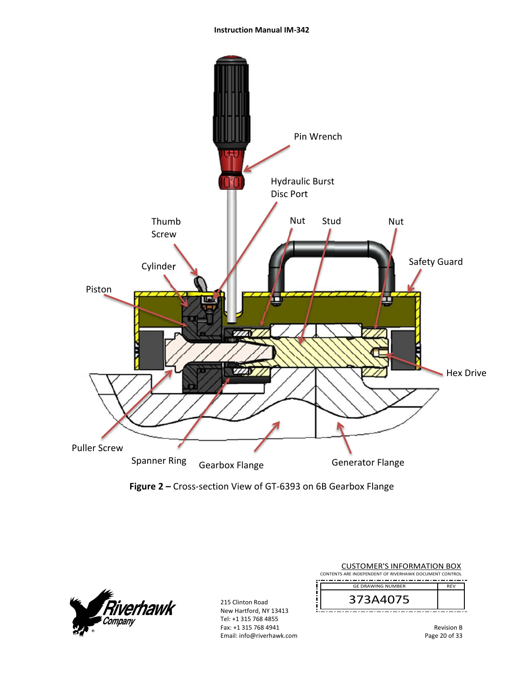#### **Instruction Manual IM‐342**



**Figure 2 –** Cross‐section View of GT‐6393 on 6B Gearbox Flange



| <b>CUSTOMER'S INFORMATION BOX</b><br>CONTENTS ARE INDEPENDENT OF RIVERHAWK DOCUMENT CONTROL |                          |     |  |
|---------------------------------------------------------------------------------------------|--------------------------|-----|--|
|                                                                                             | <b>GE DRAWING NUMBER</b> | RFV |  |
|                                                                                             |                          |     |  |
|                                                                                             |                          |     |  |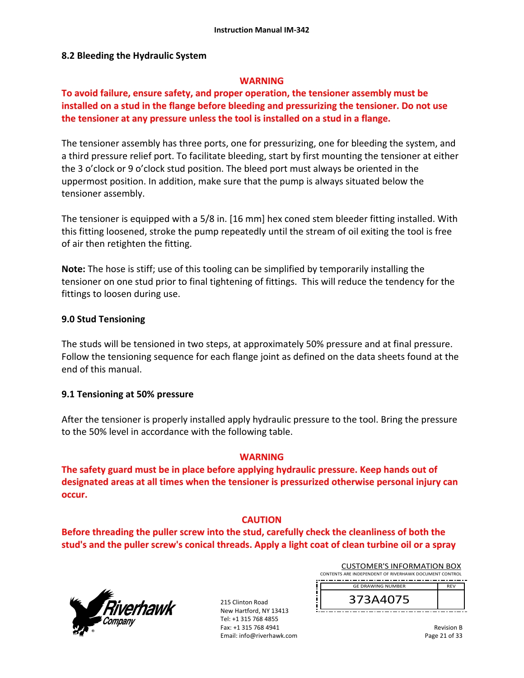### **8.2 Bleeding the Hydraulic System**

### **WARNING**

# **To avoid failure, ensure safety, and proper operation, the tensioner assembly must be installed on a stud in the flange before bleeding and pressurizing the tensioner. Do not use the tensioner at any pressure unless the tool is installed on a stud in a flange.**

The tensioner assembly has three ports, one for pressurizing, one for bleeding the system, and a third pressure relief port. To facilitate bleeding, start by first mounting the tensioner at either the 3 o'clock or 9 o'clock stud position. The bleed port must always be oriented in the uppermost position. In addition, make sure that the pump is always situated below the tensioner assembly.

The tensioner is equipped with a 5/8 in. [16 mm] hex coned stem bleeder fitting installed. With this fitting loosened, stroke the pump repeatedly until the stream of oil exiting the tool is free of air then retighten the fitting.

**Note:** The hose is stiff; use of this tooling can be simplified by temporarily installing the tensioner on one stud prior to final tightening of fittings. This will reduce the tendency for the fittings to loosen during use.

### **9.0 Stud Tensioning**

The studs will be tensioned in two steps, at approximately 50% pressure and at final pressure. Follow the tensioning sequence for each flange joint as defined on the data sheets found at the end of this manual.

### **9.1 Tensioning at 50% pressure**

After the tensioner is properly installed apply hydraulic pressure to the tool. Bring the pressure to the 50% level in accordance with the following table.

### **WARNING**

**The safety guard must be in place before applying hydraulic pressure. Keep hands out of designated areas at all times when the tensioner is pressurized otherwise personal injury can occur.** 

## **CAUTION**

**Before threading the puller screw into the stud, carefully check the cleanliness of both the stud's and the puller screw's conical threads. Apply a light coat of clean turbine oil or a spray**



215 Clinton Road New Hartford, NY 13413 Tel: +1 315 768 4855 Fax: +1 315 768 4941 Email: info@riverhawk.com

| <b>CUSTOMER'S INFORMATION BOX</b>                      |            |  |
|--------------------------------------------------------|------------|--|
| CONTENTS ARE INDEPENDENT OF RIVERHAWK DOCUMENT CONTROL |            |  |
|                                                        |            |  |
| <b>GE DRAWING NUMBER</b>                               | <b>RFV</b> |  |

373A4075

| <b>Revision B</b> |
|-------------------|
| Page 21 of 33     |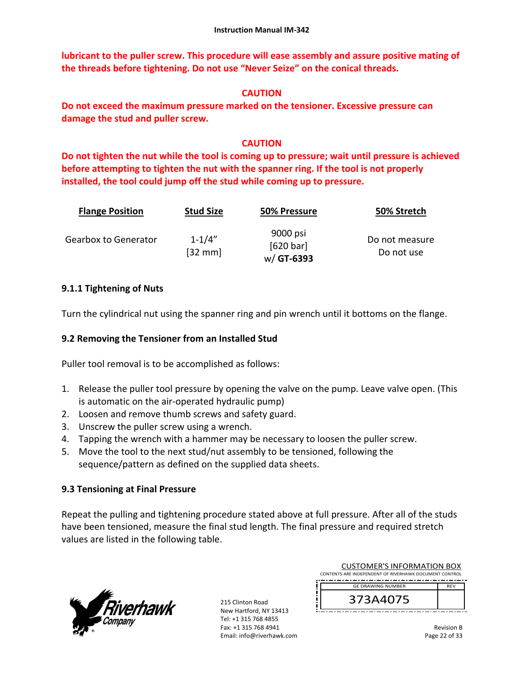**lubricant to the puller screw. This procedure will ease assembly and assure positive mating of the threads before tightening. Do not use "Never Seize" on the conical threads.** 

# **CAUTION**

**Do not exceed the maximum pressure marked on the tensioner. Excessive pressure can damage the stud and puller screw.** 

# **CAUTION**

**Do not tighten the nut while the tool is coming up to pressure; wait until pressure is achieved before attempting to tighten the nut with the spanner ring. If the tool is not properly installed, the tool could jump off the stud while coming up to pressure.** 

| <b>Flange Position</b> | <b>Stud Size</b>       | 50% Pressure                         | 50% Stretch                  |
|------------------------|------------------------|--------------------------------------|------------------------------|
| Gearbox to Generator   | $1 - 1/4"$<br>$[32$ mm | 9000 psi<br>[620 bar]<br>$w/GT-6393$ | Do not measure<br>Do not use |

# **9.1.1 Tightening of Nuts**

Turn the cylindrical nut using the spanner ring and pin wrench until it bottoms on the flange.

# **9.2 Removing the Tensioner from an Installed Stud**

Puller tool removal is to be accomplished as follows:

- 1. Release the puller tool pressure by opening the valve on the pump. Leave valve open. (This is automatic on the air‐operated hydraulic pump)
- 2. Loosen and remove thumb screws and safety guard.
- 3. Unscrew the puller screw using a wrench.
- 4. Tapping the wrench with a hammer may be necessary to loosen the puller screw.
- 5. Move the tool to the next stud/nut assembly to be tensioned, following the sequence/pattern as defined on the supplied data sheets.

# **9.3 Tensioning at Final Pressure**

Repeat the pulling and tightening procedure stated above at full pressure. After all of the studs have been tensioned, measure the final stud length. The final pressure and required stretch values are listed in the following table.



| <b>GE DRAWING NUMBER</b>                               | <b>RFV</b> |
|--------------------------------------------------------|------------|
| CONTENTS ARE INDEPENDENT OF RIVERHAWK DOCUMENT CONTROL |            |
| <b>CUSTOMER'S INFORMATION BOX</b>                      |            |

| <b>Revision B</b> |
|-------------------|
| Page 22 of 33     |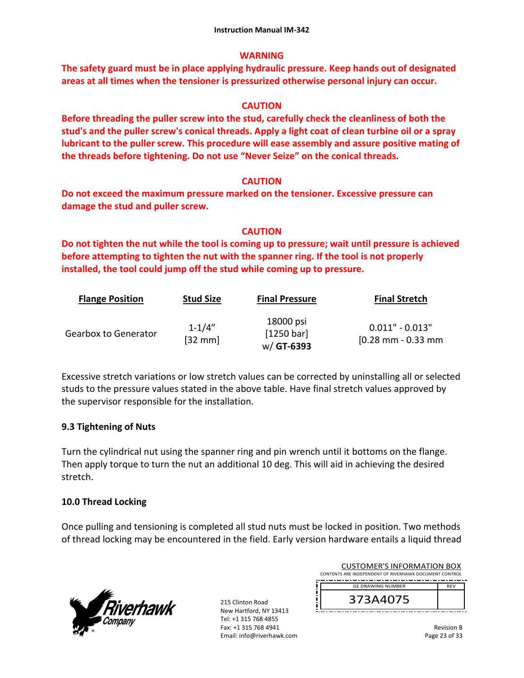# **WARNING**

**The safety guard must be in place applying hydraulic pressure. Keep hands out of designated areas at all times when the tensioner is pressurized otherwise personal injury can occur.** 

# **CAUTION**

**Before threading the puller screw into the stud, carefully check the cleanliness of both the stud's and the puller screw's conical threads. Apply a light coat of clean turbine oil or a spray lubricant to the puller screw. This procedure will ease assembly and assure positive mating of the threads before tightening. Do not use "Never Seize" on the conical threads.** 

# **CAUTION**

**Do not exceed the maximum pressure marked on the tensioner. Excessive pressure can damage the stud and puller screw.** 

# **CAUTION**

**Do not tighten the nut while the tool is coming up to pressure; wait until pressure is achieved before attempting to tighten the nut with the spanner ring. If the tool is not properly installed, the tool could jump off the stud while coming up to pressure.** 

| <b>Flange Position</b>      | <b>Stud Size</b>                | <b>Final Pressure</b>                 | <b>Final Stretch</b>                                       |
|-----------------------------|---------------------------------|---------------------------------------|------------------------------------------------------------|
| <b>Gearbox to Generator</b> | $1 - 1/4"$<br>$[32 \text{ mm}]$ | 18000 psi<br>[1250 bar]<br>w/ GT-6393 | $0.011" - 0.013"$<br>$[0.28 \text{ mm} - 0.33 \text{ mm}]$ |

Excessive stretch variations or low stretch values can be corrected by uninstalling all or selected studs to the pressure values stated in the above table. Have final stretch values approved by the supervisor responsible for the installation.

# **9.3 Tightening of Nuts**

Turn the cylindrical nut using the spanner ring and pin wrench until it bottoms on the flange. Then apply torque to turn the nut an additional 10 deg. This will aid in achieving the desired stretch.

# **10.0 Thread Locking**

Once pulling and tensioning is completed all stud nuts must be locked in position. Two methods of thread locking may be encountered in the field. Early version hardware entails a liquid thread



215 Clinton Road New Hartford, NY 13413 Tel: +1 315 768 4855 Fax: +1 315 768 4941 Email: info@riverhawk.com

| CUSTOMER S INFORMATION BOX                             |            |  |  |
|--------------------------------------------------------|------------|--|--|
| CONTENTS ARE INDEPENDENT OF RIVERHAWK DOCUMENT CONTROL |            |  |  |
|                                                        |            |  |  |
| <b>GE DRAWING NUMBER</b>                               | <b>RFV</b> |  |  |
| 73A4075                                                |            |  |  |

373A4075

CUCTOMERIC INFORMATION BOX

Revision B Page 23 of 33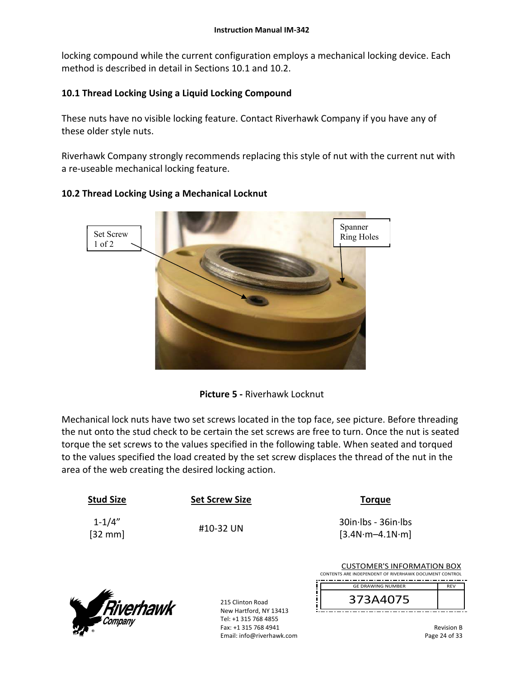locking compound while the current configuration employs a mechanical locking device. Each method is described in detail in Sections 10.1 and 10.2.

# **10.1 Thread Locking Using a Liquid Locking Compound**

These nuts have no visible locking feature. Contact Riverhawk Company if you have any of these older style nuts.

Riverhawk Company strongly recommends replacing this style of nut with the current nut with a re‐useable mechanical locking feature.



# **10.2 Thread Locking Using a Mechanical Locknut**



Mechanical lock nuts have two set screws located in the top face, see picture. Before threading the nut onto the stud check to be certain the set screws are free to turn. Once the nut is seated torque the set screws to the values specified in the following table. When seated and torqued to the values specified the load created by the set screw displaces the thread of the nut in the area of the web creating the desired locking action.

| <b>Stud Size</b>                | <b>Set Screw Size</b>                                                                               | <b>Torque</b>                                                                               |                                    |
|---------------------------------|-----------------------------------------------------------------------------------------------------|---------------------------------------------------------------------------------------------|------------------------------------|
| $1 - 1/4"$<br>$[32 \text{ mm}]$ | #10-32 UN                                                                                           | $30$ in $\cdot$ lbs - $36$ in $\cdot$ lbs<br>$[3.4N·m-4.1N·m]$                              |                                    |
|                                 |                                                                                                     | <b>CUSTOMER'S INFORMATION BOX</b><br>CONTENTS ARE INDEPENDENT OF RIVERHAWK DOCUMENT CONTROL |                                    |
|                                 |                                                                                                     | <b>GE DRAWING NUMBER</b>                                                                    | <b>REV</b>                         |
|                                 | 215 Clinton Road                                                                                    | 373A4075                                                                                    |                                    |
| <b>Riverhawk</b>                | New Hartford, NY 13413<br>Tel: +1 315 768 4855<br>Fax: +1 315 768 4941<br>Email: info@riverhawk.com |                                                                                             | <b>Revision B</b><br>Page 24 of 33 |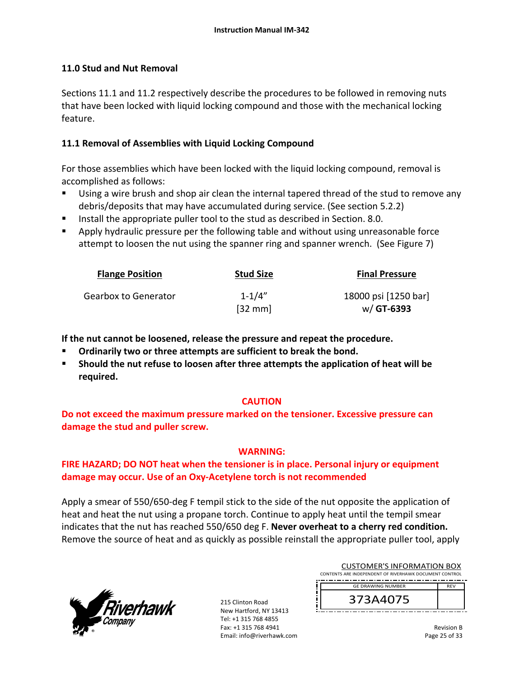# **11.0 Stud and Nut Removal**

Sections 11.1 and 11.2 respectively describe the procedures to be followed in removing nuts that have been locked with liquid locking compound and those with the mechanical locking feature.

# **11.1 Removal of Assemblies with Liquid Locking Compound**

For those assemblies which have been locked with the liquid locking compound, removal is accomplished as follows:

- Using a wire brush and shop air clean the internal tapered thread of the stud to remove any debris/deposits that may have accumulated during service. (See section 5.2.2)
- Install the appropriate puller tool to the stud as described in Section. 8.0.
- Apply hydraulic pressure per the following table and without using unreasonable force attempt to loosen the nut using the spanner ring and spanner wrench. (See Figure 7)

| <b>Flange Position</b>      | <b>Stud Size</b>                | <b>Final Pressure</b>               |
|-----------------------------|---------------------------------|-------------------------------------|
| <b>Gearbox to Generator</b> | $1 - 1/4"$<br>$[32 \text{ mm}]$ | 18000 psi [1250 bar]<br>$w/GT-6393$ |

**If the nut cannot be loosened, release the pressure and repeat the procedure.** 

- **Ordinarily two or three attempts are sufficient to break the bond.**
- **Should the nut refuse to loosen after three attempts the application of heat will be required.**

## **CAUTION**

**Do not exceed the maximum pressure marked on the tensioner. Excessive pressure can damage the stud and puller screw.** 

## **WARNING:**

# **FIRE HAZARD; DO NOT heat when the tensioner is in place. Personal injury or equipment damage may occur. Use of an Oxy‐Acetylene torch is not recommended**

Apply a smear of 550/650‐deg F tempil stick to the side of the nut opposite the application of heat and heat the nut using a propane torch. Continue to apply heat until the tempil smear indicates that the nut has reached 550/650 deg F. **Never overheat to a cherry red condition.** Remove the source of heat and as quickly as possible reinstall the appropriate puller tool, apply



| <b>GE DRAWING NUMBER</b>                               | <b>RFV</b> |  |
|--------------------------------------------------------|------------|--|
| CONTENTS ARE INDEPENDENT OF RIVERHAWK DOCUMENT CONTROL |            |  |
| <b>CUSTOMER'S INFORMATION BOX</b>                      |            |  |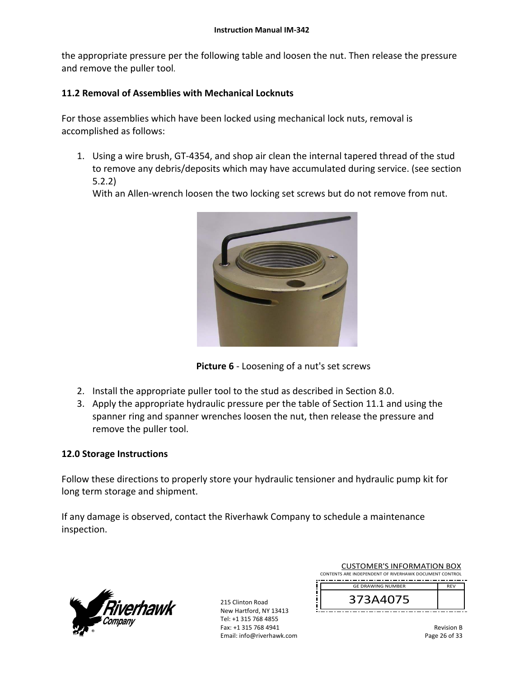the appropriate pressure per the following table and loosen the nut. Then release the pressure and remove the puller tool.

# **11.2 Removal of Assemblies with Mechanical Locknuts**

For those assemblies which have been locked using mechanical lock nuts, removal is accomplished as follows:

1. Using a wire brush, GT‐4354, and shop air clean the internal tapered thread of the stud to remove any debris/deposits which may have accumulated during service. (see section 5.2.2)

With an Allen-wrench loosen the two locking set screws but do not remove from nut.



**Picture 6** - Loosening of a nut's set screws

- 2. Install the appropriate puller tool to the stud as described in Section 8.0.
- 3. Apply the appropriate hydraulic pressure per the table of Section 11.1 and using the spanner ring and spanner wrenches loosen the nut, then release the pressure and remove the puller tool.

## **12.0 Storage Instructions**

Follow these directions to properly store your hydraulic tensioner and hydraulic pump kit for long term storage and shipment.

If any damage is observed, contact the Riverhawk Company to schedule a maintenance inspection.



215 Clinton Road New Hartford, NY 13413 Tel: +1 315 768 4855 Fax: +1 315 768 4941 Email: info@riverhawk.com

| <b>CUSTOMER'S INFORMATION BOX</b><br>CONTENTS ARE INDEPENDENT OF RIVERHAWK DOCUMENT CONTROL |                          |            |
|---------------------------------------------------------------------------------------------|--------------------------|------------|
|                                                                                             | <b>GE DRAWING NUMBER</b> | <b>RFV</b> |
|                                                                                             | 373A4075                 |            |

Revision B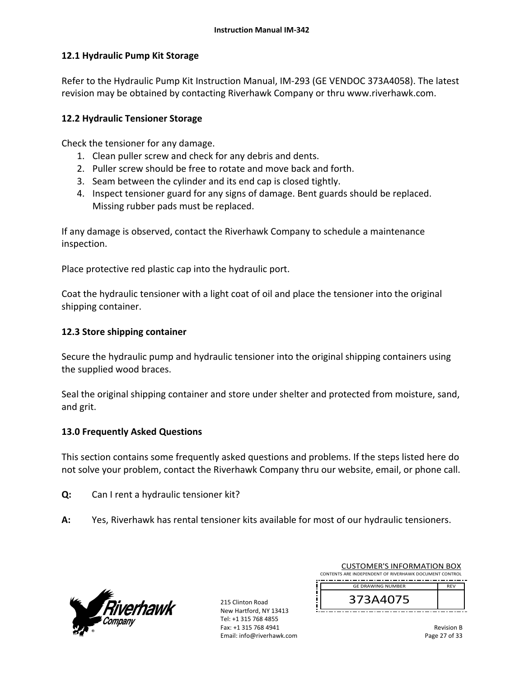## **12.1 Hydraulic Pump Kit Storage**

Refer to the Hydraulic Pump Kit Instruction Manual, IM‐293 (GE VENDOC 373A4058). The latest revision may be obtained by contacting Riverhawk Company or thru www.riverhawk.com.

# **12.2 Hydraulic Tensioner Storage**

Check the tensioner for any damage.

- 1. Clean puller screw and check for any debris and dents.
- 2. Puller screw should be free to rotate and move back and forth.
- 3. Seam between the cylinder and its end cap is closed tightly.
- 4. Inspect tensioner guard for any signs of damage. Bent guards should be replaced. Missing rubber pads must be replaced.

If any damage is observed, contact the Riverhawk Company to schedule a maintenance inspection.

Place protective red plastic cap into the hydraulic port.

Coat the hydraulic tensioner with a light coat of oil and place the tensioner into the original shipping container.

# **12.3 Store shipping container**

Secure the hydraulic pump and hydraulic tensioner into the original shipping containers using the supplied wood braces.

Seal the original shipping container and store under shelter and protected from moisture, sand, and grit.

## **13.0 Frequently Asked Questions**

This section contains some frequently asked questions and problems. If the steps listed here do not solve your problem, contact the Riverhawk Company thru our website, email, or phone call.

- **Q:**  Can I rent a hydraulic tensioner kit?
- **A:**  Yes, Riverhawk has rental tensioner kits available for most of our hydraulic tensioners.



215 Clinton Road New Hartford, NY 13413 Tel: +1 315 768 4855 Fax: +1 315 768 4941 Email: info@riverhawk.com

| CUSTOMER'S INFORMATION BOX                             |                          |            |
|--------------------------------------------------------|--------------------------|------------|
| CONTENTS ARE INDEPENDENT OF RIVERHAWK DOCUMENT CONTROL |                          |            |
|                                                        | <b>GE DRAWING NUMBER</b> | <b>RFV</b> |
|                                                        |                          |            |
|                                                        | 373A4075                 |            |
|                                                        |                          |            |

CUSTOMER'S INFORMATION BOX

Revision B Page 27 of 33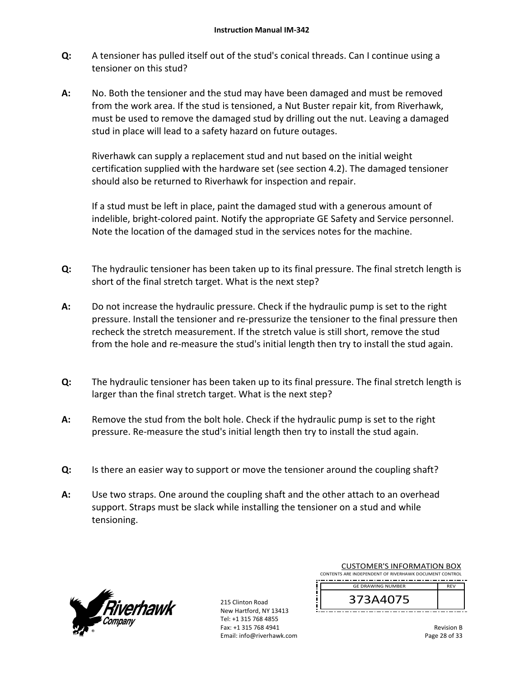- **Q:**  A tensioner has pulled itself out of the stud's conical threads. Can I continue using a tensioner on this stud?
- **A:**  No. Both the tensioner and the stud may have been damaged and must be removed from the work area. If the stud is tensioned, a Nut Buster repair kit, from Riverhawk, must be used to remove the damaged stud by drilling out the nut. Leaving a damaged stud in place will lead to a safety hazard on future outages.

Riverhawk can supply a replacement stud and nut based on the initial weight certification supplied with the hardware set (see section 4.2). The damaged tensioner should also be returned to Riverhawk for inspection and repair.

If a stud must be left in place, paint the damaged stud with a generous amount of indelible, bright‐colored paint. Notify the appropriate GE Safety and Service personnel. Note the location of the damaged stud in the services notes for the machine.

- **Q:**  The hydraulic tensioner has been taken up to its final pressure. The final stretch length is short of the final stretch target. What is the next step?
- **A:**  Do not increase the hydraulic pressure. Check if the hydraulic pump is set to the right pressure. Install the tensioner and re‐pressurize the tensioner to the final pressure then recheck the stretch measurement. If the stretch value is still short, remove the stud from the hole and re-measure the stud's initial length then try to install the stud again.
- **Q:**  The hydraulic tensioner has been taken up to its final pressure. The final stretch length is larger than the final stretch target. What is the next step?
- **A:**  Remove the stud from the bolt hole. Check if the hydraulic pump is set to the right pressure. Re‐measure the stud's initial length then try to install the stud again.
- **Q:**  Is there an easier way to support or move the tensioner around the coupling shaft?
- **A:**  Use two straps. One around the coupling shaft and the other attach to an overhead support. Straps must be slack while installing the tensioner on a stud and while tensioning.



215 Clinton Road New Hartford, NY 13413 Tel: +1 315 768 4855 Fax: +1 315 768 4941 Email: info@riverhawk.com

| <b>CUSTOMER'S INFORMATION BOX</b>                      |            |  |  |
|--------------------------------------------------------|------------|--|--|
| CONTENTS ARE INDEPENDENT OF RIVERHAWK DOCUMENT CONTROL |            |  |  |
| <b>GE DRAWING NUMBER</b>                               | <b>RFV</b> |  |  |
| 373A4075                                               |            |  |  |

Revision B Page 28 of 33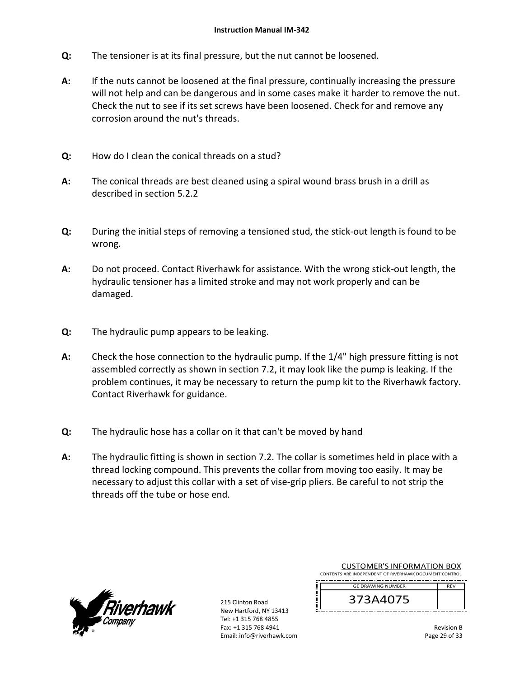- **Q:**  The tensioner is at its final pressure, but the nut cannot be loosened.
- **A:**  If the nuts cannot be loosened at the final pressure, continually increasing the pressure will not help and can be dangerous and in some cases make it harder to remove the nut. Check the nut to see if its set screws have been loosened. Check for and remove any corrosion around the nut's threads.
- **Q:**  How do I clean the conical threads on a stud?
- **A:**  The conical threads are best cleaned using a spiral wound brass brush in a drill as described in section 5.2.2
- **Q:**  During the initial steps of removing a tensioned stud, the stick‐out length is found to be wrong.
- **A:**  Do not proceed. Contact Riverhawk for assistance. With the wrong stick‐out length, the hydraulic tensioner has a limited stroke and may not work properly and can be damaged.
- **Q:**  The hydraulic pump appears to be leaking.
- **A:**  Check the hose connection to the hydraulic pump. If the 1/4" high pressure fitting is not assembled correctly as shown in section 7.2, it may look like the pump is leaking. If the problem continues, it may be necessary to return the pump kit to the Riverhawk factory. Contact Riverhawk for guidance.
- **Q:**  The hydraulic hose has a collar on it that can't be moved by hand
- **A:**  The hydraulic fitting is shown in section 7.2. The collar is sometimes held in place with a thread locking compound. This prevents the collar from moving too easily. It may be necessary to adjust this collar with a set of vise‐grip pliers. Be careful to not strip the threads off the tube or hose end.



215 Clinton Road New Hartford, NY 13413 Tel: +1 315 768 4855 Fax: +1 315 768 4941 Email: info@riverhawk.com

| CUSTOMER S INFORMATION BOX                             |            |
|--------------------------------------------------------|------------|
| CONTENTS ARE INDEPENDENT OF RIVERHAWK DOCUMENT CONTROL |            |
|                                                        |            |
| <b>GE DRAWING NUMBER</b>                               | <b>RFV</b> |
| 373A4075                                               |            |
|                                                        |            |
|                                                        |            |

CUSTOMER'S INFORMATION BOX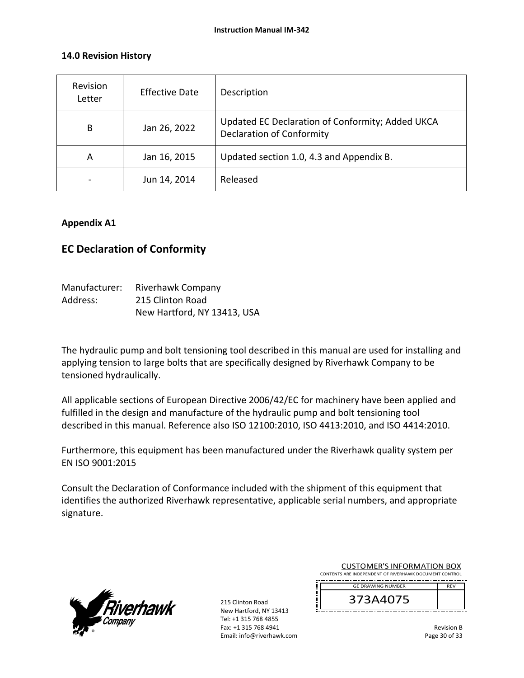## **14.0 Revision History**

| Revision<br>Letter | <b>Effective Date</b> | Description                                                                          |
|--------------------|-----------------------|--------------------------------------------------------------------------------------|
| B                  | Jan 26, 2022          | Updated EC Declaration of Conformity; Added UKCA<br><b>Declaration of Conformity</b> |
| A                  | Jan 16, 2015          | Updated section 1.0, 4.3 and Appendix B.                                             |
|                    | Jun 14, 2014          | Released                                                                             |

## **Appendix A1**

# **EC Declaration of Conformity**

| Manufacturer: | Riverhawk Company           |
|---------------|-----------------------------|
| Address:      | 215 Clinton Road            |
|               | New Hartford, NY 13413, USA |

The hydraulic pump and bolt tensioning tool described in this manual are used for installing and applying tension to large bolts that are specifically designed by Riverhawk Company to be tensioned hydraulically.

All applicable sections of European Directive 2006/42/EC for machinery have been applied and fulfilled in the design and manufacture of the hydraulic pump and bolt tensioning tool described in this manual. Reference also ISO 12100:2010, ISO 4413:2010, and ISO 4414:2010.

Furthermore, this equipment has been manufactured under the Riverhawk quality system per EN ISO 9001:2015

Consult the Declaration of Conformance included with the shipment of this equipment that identifies the authorized Riverhawk representative, applicable serial numbers, and appropriate signature.



215 Clinton Road New Hartford, NY 13413 Tel: +1 315 768 4855 Fax: +1 315 768 4941 Email: info@riverhawk.com

| <b>CUSTOMER'S INFORMATION BOX</b>                      |            |  |
|--------------------------------------------------------|------------|--|
| CONTENTS ARE INDEPENDENT OF RIVERHAWK DOCUMENT CONTROL |            |  |
| <b>GE DRAWING NUMBER</b>                               | <b>RFV</b> |  |
|                                                        |            |  |

Revision B Page 30 of 33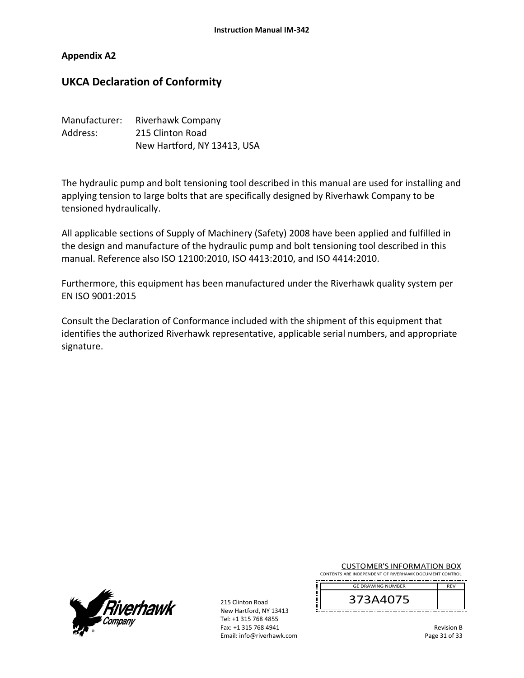### **Appendix A2**

# **UKCA Declaration of Conformity**

| Manufacturer: | Riverhawk Company           |
|---------------|-----------------------------|
| Address:      | 215 Clinton Road            |
|               | New Hartford, NY 13413, USA |

The hydraulic pump and bolt tensioning tool described in this manual are used for installing and applying tension to large bolts that are specifically designed by Riverhawk Company to be tensioned hydraulically.

All applicable sections of Supply of Machinery (Safety) 2008 have been applied and fulfilled in the design and manufacture of the hydraulic pump and bolt tensioning tool described in this manual. Reference also ISO 12100:2010, ISO 4413:2010, and ISO 4414:2010.

Furthermore, this equipment has been manufactured under the Riverhawk quality system per EN ISO 9001:2015

Consult the Declaration of Conformance included with the shipment of this equipment that identifies the authorized Riverhawk representative, applicable serial numbers, and appropriate signature.



215 Clinton Road New Hartford, NY 13413 Tel: +1 315 768 4855 Fax: +1 315 768 4941 Email: info@riverhawk.com

| <b>CUSTOMER'S INFORMATION BOX</b>                      |  |  |
|--------------------------------------------------------|--|--|
| CONTENTS ARE INDEPENDENT OF RIVERHAWK DOCUMENT CONTROL |  |  |
| -----------------------------------                    |  |  |



Revision B Page 31 of 33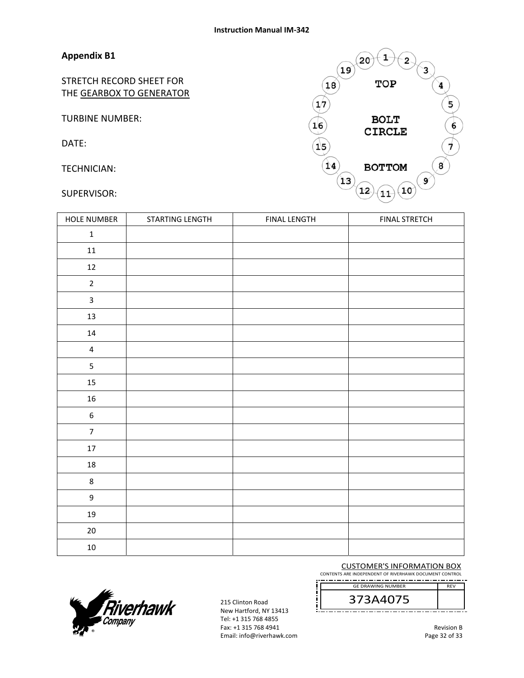# **Appendix B1**

STRETCH RECORD SHEET FOR THE GEARBOX TO GENERATOR

TURBINE NUMBER:

DATE:

TECHNICIAN:

SUPERVISOR:

| 19<br>18        | 1<br>20<br>2<br>TOP | з |
|-----------------|---------------------|---|
|                 |                     | 4 |
| 17              |                     | 5 |
| 16              | <b>BOLT</b>         | 6 |
|                 | <b>CIRCLE</b>       |   |
| $1\overline{5}$ |                     |   |
| 14              | <b>BOTTOM</b>       | 8 |
| 13              | 12<br>10<br>11      | 9 |

| HOLE NUMBER             | STARTING LENGTH | <b>FINAL LENGTH</b> | <b>FINAL STRETCH</b> |
|-------------------------|-----------------|---------------------|----------------------|
| $\mathbf 1$             |                 |                     |                      |
| $11\,$                  |                 |                     |                      |
| $12\,$                  |                 |                     |                      |
| $\mathbf 2$             |                 |                     |                      |
| $\overline{\mathbf{3}}$ |                 |                     |                      |
| $13\,$                  |                 |                     |                      |
| $14\,$                  |                 |                     |                      |
| $\overline{\mathbf{4}}$ |                 |                     |                      |
| 5                       |                 |                     |                      |
| $15\,$                  |                 |                     |                      |
| ${\bf 16}$              |                 |                     |                      |
| $\boldsymbol{6}$        |                 |                     |                      |
| $\overline{7}$          |                 |                     |                      |
| $17\,$                  |                 |                     |                      |
| $18\,$                  |                 |                     |                      |
| $\bf 8$                 |                 |                     |                      |
| $\mathsf g$             |                 |                     |                      |
| $19\,$                  |                 |                     |                      |
| $20\,$                  |                 |                     |                      |
| $10\,$                  |                 |                     |                      |

#### CUSTOMER'S INFORMATION BOX

CONTENTS ARE INDEPENDENT OF RIVERHAWK DOCUMENT CONTROL

373A4075 GE DRAWING NUMBER



215 Clinton Road New Hartford, NY 13413 Tel: +1 315 768 4855 Fax: +1 315 768 4941 Email: info@riverhawk.com